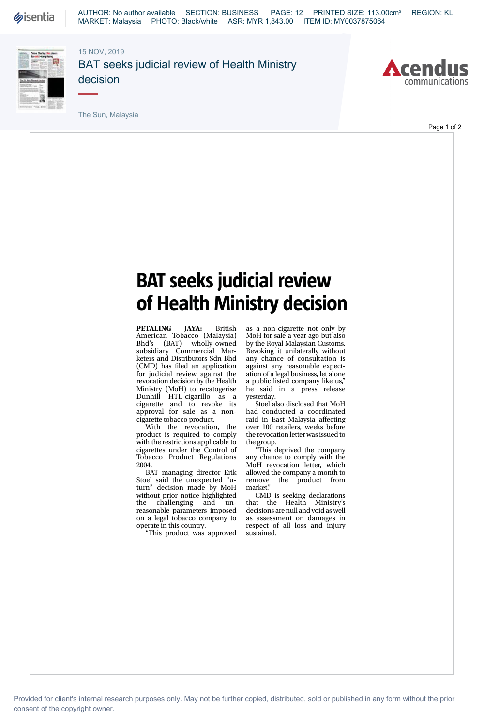

AUTHOR: No author available SECTION: BUSINESS PAGE: 12 PRINTED SIZE: 113.00cm² REGION: KL MARKET: Malaysia PHOTO: Black/white ASR: MYR 1,843.00 ITEM ID: MY0037875064

15 NOV, 2019



BAT seeks judicial review of Health Ministry decision



The Sun, Malaysia

## Page 1 of 2

## **BAT seeks judicial review of Health Ministry decision**

**PETALING JAYA:** British American Tobacco (Malaysia) Bhd's (BAT) wholly-owned subsidiary Commercial Marketers and Distributors Sdn Bhd (CMD) has filed an application for judicial review against the revocation decision by the Health Ministry (MoH) to recatogerise Dunhill HTL-cigarillo as a cigarette and to revoke its approval for sale as a noncigarette tobacco product.

With the revocation, the product is required to comply with the restrictions applicable to cigarettes under the Control of Tobacco Product Regulations 2004.

BAT managing director Erik Stoel said the unexpected "uturn" decision made by MoH without prior notice highlighted the challenging and unreasonable parameters imposed on a legal tobacco company to operate in this country.

"This product was approved

as a non-cigarette not only by MoH for sale a year ago but also by the Royal Malaysian Customs. Revoking it unilaterally without any chance of consultation is against any reasonable expectation of a legal business, let alone a public listed company like us," he said in a press release yesterday.

Stoel also disclosed that MoH had conducted a coordinated raid in East Malaysia affecting over 100 retailers, weeks before the revocation letter was issued to the group.

"This deprived the company any chance to comply with the MoH revocation letter, which allowed the company a month to<br>remove the product from the product from market."

CMD is seeking declarations that the Health Ministry's decisions are null and void as well as assessment on damages in respect of all loss and injury sustained.